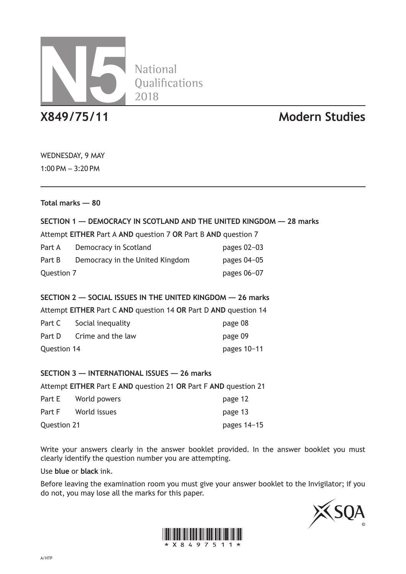

National Qualifications 2018

### **X849/75/11 Modern Studies**

WEDNESDAY, 9 MAY 1:00 PM – 3:20 PM

**Total marks — 80**

#### **SECTION 1 — DEMOCRACY IN SCOTLAND AND THE UNITED KINGDOM — 28 marks**

Attempt **EITHER** Part A **AND** question 7 **OR** Part B **AND** question 7

| Part A     | Democracy in Scotland           | pages $02-03$ |
|------------|---------------------------------|---------------|
| Part B     | Democracy in the United Kingdom | pages 04-05   |
| Question 7 |                                 | pages $06-07$ |

#### **SECTION 2 — SOCIAL ISSUES IN THE UNITED KINGDOM — 26 marks**

Attempt **EITHER** Part C **AND** question 14 **OR** Part D **AND** question 14

| Part C      | Social inequality | page 08       |
|-------------|-------------------|---------------|
| Part D      | Crime and the law | page 09       |
| Question 14 |                   | pages $10-11$ |

| SECTION 3 - INTERNATIONAL ISSUES - 26 marks                     |                     |             |  |
|-----------------------------------------------------------------|---------------------|-------------|--|
| Attempt EITHER Part E AND question 21 OR Part F AND question 21 |                     |             |  |
|                                                                 | Part E World powers | page 12     |  |
|                                                                 | Part F World issues | page 13     |  |
| <b>Question 21</b>                                              |                     | pages 14-15 |  |

Write your answers clearly in the answer booklet provided. In the answer booklet you must clearly identify the question number you are attempting.

Use **blue** or **black** ink.

Before leaving the examination room you must give your answer booklet to the Invigilator; if you do not, you may lose all the marks for this paper.



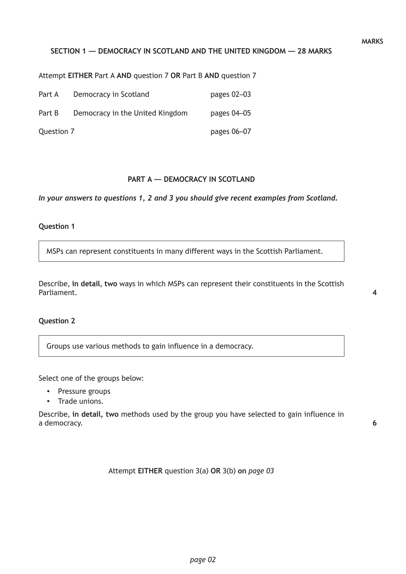#### **SECTION 1 — DEMOCRACY IN SCOTLAND AND THE UNITED KINGDOM — 28 MARKS**

Attempt **EITHER** Part A **AND** question 7 **OR** Part B **AND** question 7

| Part A     | Democracy in Scotland           | pages 02-03 |
|------------|---------------------------------|-------------|
| Part B     | Democracy in the United Kingdom | pages 04-05 |
| Question 7 |                                 | pages 06-07 |

#### **PART A — DEMOCRACY IN SCOTLAND**

*In your answers to questions 1, 2 and 3 you should give recent examples from Scotland.*

#### **Question 1**

MSPs can represent constituents in many different ways in the Scottish Parliament.

Describe, **in detail**, **two** ways in which MSPs can represent their constituents in the Scottish Parliament.

#### **Question 2**

Groups use various methods to gain influence in a democracy.

Select one of the groups below:

- Pressure groups
- Trade unions.

Describe, **in detail, two** methods used by the group you have selected to gain influence in a democracy.

**6**

**4**

Attempt **EITHER** question 3(a) **OR** 3(b) **on** *page 03*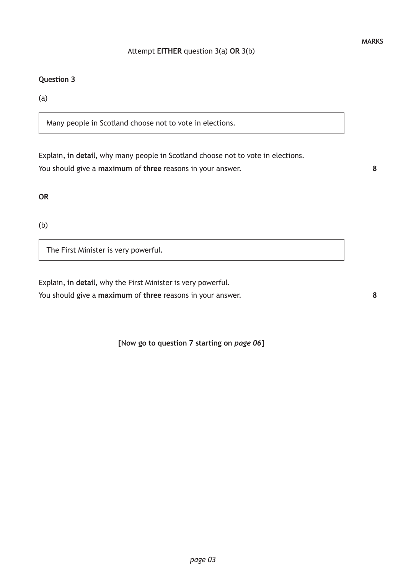**8**

**8**

#### **Question 3**

(a)

Many people in Scotland choose not to vote in elections.

Explain, **in detail**, why many people in Scotland choose not to vote in elections. You should give a **maximum** of **three** reasons in your answer.

**OR**

(b)

The First Minister is very powerful.

Explain, **in detail**, why the First Minister is very powerful. You should give a **maximum** of **three** reasons in your answer.

**[Now go to question 7 starting on** *page 06***]**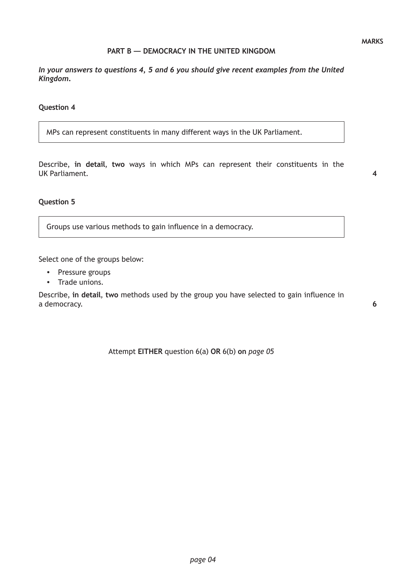#### **PART B — DEMOCRACY IN THE UNITED KINGDOM**

*In your answers to questions 4, 5 and 6 you should give recent examples from the United Kingdom.*

#### **Question 4**

MPs can represent constituents in many different ways in the UK Parliament.

Describe, **in detail**, **two** ways in which MPs can represent their constituents in the UK Parliament.

#### **Question 5**

Groups use various methods to gain influence in a democracy.

Select one of the groups below:

- Pressure groups
- Trade unions.

Describe, **in detail**, **two** methods used by the group you have selected to gain influence in a democracy.

**6**

Attempt **EITHER** question 6(a) **OR** 6(b) **on** *page 05*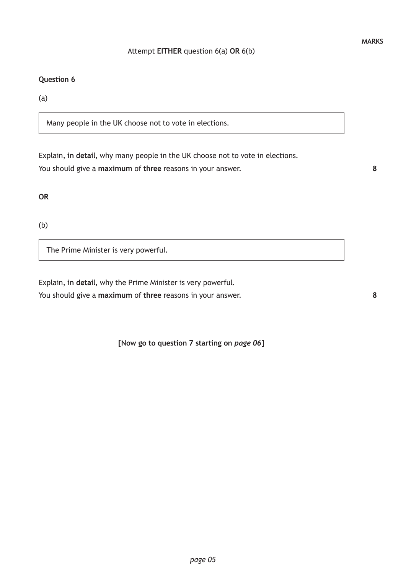#### Attempt **EITHER** question 6(a) **OR** 6(b)

#### **Question 6**

(a)

Many people in the UK choose not to vote in elections.

Explain, **in detail**, why many people in the UK choose not to vote in elections. You should give a **maximum** of **three** reasons in your answer.

**OR**

(b)

The Prime Minister is very powerful.

Explain, **in detail**, why the Prime Minister is very powerful. You should give a **maximum** of **three** reasons in your answer.

**[Now go to question 7 starting on** *page 06***]**

**8**

**8**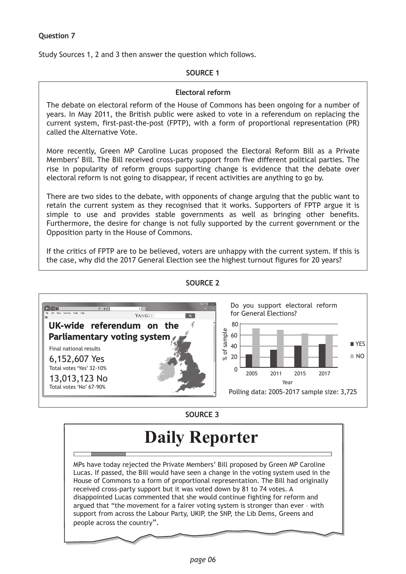#### **Question 7**

Study Sources 1, 2 and 3 then answer the question which follows.

#### **SOURCE 1**

#### **Electoral reform**

The debate on electoral reform of the House of Commons has been ongoing for a number of years. In May 2011, the British public were asked to vote in a referendum on replacing the current system, first-past-the-post (FPTP), with a form of proportional representation (PR) called the Alternative Vote.

More recently, Green MP Caroline Lucas proposed the Electoral Reform Bill as a Private Members' Bill. The Bill received cross-party support from five different political parties. The rise in popularity of reform groups supporting change is evidence that the debate over electoral reform is not going to disappear, if recent activities are anything to go by.

There are two sides to the debate, with opponents of change arguing that the public want to retain the current system as they recognised that it works. Supporters of FPTP argue it is simple to use and provides stable governments as well as bringing other benefits. Furthermore, the desire for change is not fully supported by the current government or the Opposition party in the House of Commons.

If the critics of FPTP are to be believed, voters are unhappy with the current system. If this is the case, why did the 2017 General Election see the highest turnout figures for 20 years?



#### **SOURCE 2**

**SOURCE 3**

# **Daily Reporter**

MPs have today rejected the Private Members' Bill proposed by Green MP Caroline Lucas. If passed, the Bill would have seen a change in the voting system used in the House of Commons to a form of proportional representation. The Bill had originally received cross-party support but it was voted down by 81 to 74 votes. A disappointed Lucas commented that she would continue fighting for reform and argued that "the movement for a fairer voting system is stronger than ever – with support from across the Labour Party, UKIP, the SNP, the Lib Dems, Greens and people across the country".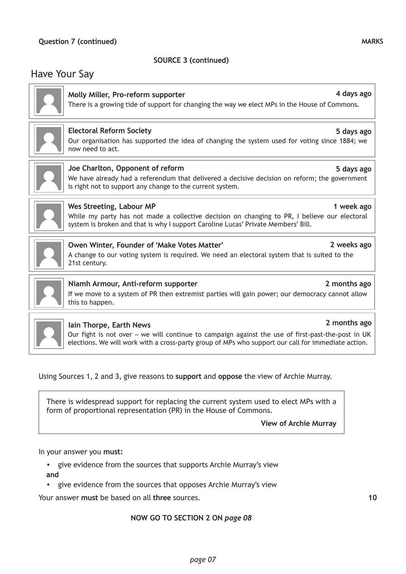#### **SOURCE 3 (continued)**

### Have Your Say

**Molly Miller, Pro-reform supporter 4 days ago**

There is a growing tide of support for changing the way we elect MPs in the House of Commons.

#### **Electoral Reform Society 5 days ago**

Our organisation has supported the idea of changing the system used for voting since 1884; we now need to act.



#### **Joe Charlton, Opponent of reform 5 days ago**

We have already had a referendum that delivered a decisive decision on reform; the government is right not to support any change to the current system.



## **Wes Streeting, Labour MP 1 week ago**

While my party has not made a collective decision on changing to PR, I believe our electoral system is broken and that is why I support Caroline Lucas' Private Members' Bill.



#### **Owen Winter, Founder of 'Make Votes Matter' 2 weeks ago**

A change to our voting system is required. We need an electoral system that is suited to the 21st century.



#### **Niamh Armour, Anti-reform supporter 2 months ago**

If we move to a system of PR then extremist parties will gain power; our democracy cannot allow this to happen.



#### **Iain Thorpe, Earth News 2 months ago**

Our fight is not over – we will continue to campaign against the use of first-past-the-post in UK elections. We will work with a cross-party group of MPs who support our call for immediate action.

Using Sources 1, 2 and 3, give reasons to **support** and **oppose** the view of Archie Murray.

There is widespread support for replacing the current system used to elect MPs with a form of proportional representation (PR) in the House of Commons.

**View of Archie Murray**

**10**

#### In your answer you **must:**

- give evidence from the sources that supports Archie Murray's view **and**
- give evidence from the sources that opposes Archie Murray's view

Your answer **must** be based on all **three** sources.

#### **NOW GO TO SECTION 2 ON** *page 08*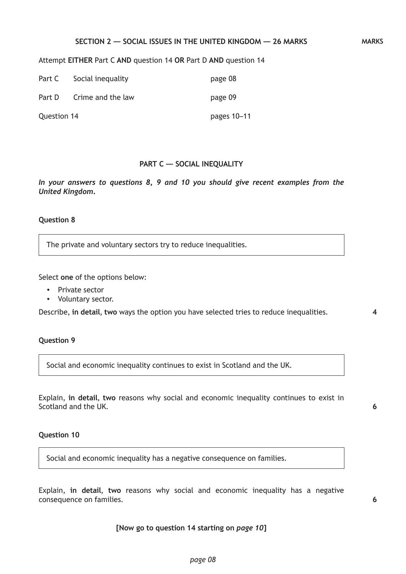#### SECTION 2 - SOCIAL ISSUES IN THE UNITED KINGDOM - 26 MARKS MARKS

Attempt **EITHER** Part C **AND** question 14 **OR** Part D **AND** question 14

| Part C      | Social inequality        | page 08     |
|-------------|--------------------------|-------------|
|             | Part D Crime and the law | page 09     |
| Question 14 |                          | pages 10-11 |

#### **PART C — SOCIAL INEQUALITY**

*In your answers to questions 8, 9 and 10 you should give recent examples from the United Kingdom.*

#### **Question 8**

The private and voluntary sectors try to reduce inequalities.

Select **one** of the options below:

- Private sector
- Voluntary sector.

Describe, **in detail**, **two** ways the option you have selected tries to reduce inequalities.

#### **Question 9**

Social and economic inequality continues to exist in Scotland and the UK.

Explain, **in detail**, **two** reasons why social and economic inequality continues to exist in Scotland and the UK.

**Question 10**

Social and economic inequality has a negative consequence on families.

Explain, **in detail**, **two** reasons why social and economic inequality has a negative consequence on families.

**6**

**4**

**6**

#### **[Now go to question 14 starting on** *page 10***]**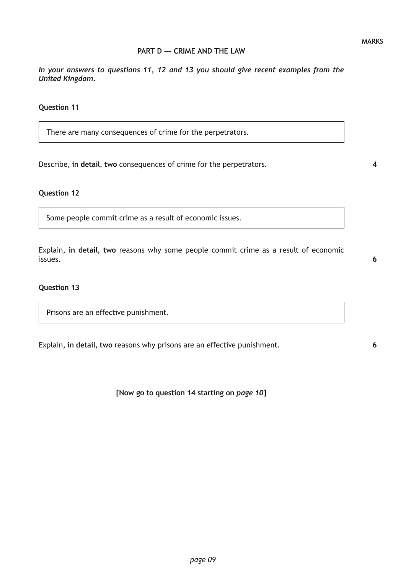#### **PART D — CRIME AND THE LAW**

*In your answers to questions 11, 12 and 13 you should give recent examples from the United Kingdom.*

#### **Question 11**

There are many consequences of crime for the perpetrators.

Describe, **in detail**, **two** consequences of crime for the perpetrators.

#### **Question 12**

Some people commit crime as a result of economic issues.

Explain, **in detail**, **two** reasons why some people commit crime as a result of economic issues.

**6**

**4**

#### **Question 13**

Prisons are an effective punishment.

Explain, **in detail**, **two** reasons why prisons are an effective punishment.

**[Now go to question 14 starting on** *page 10***]**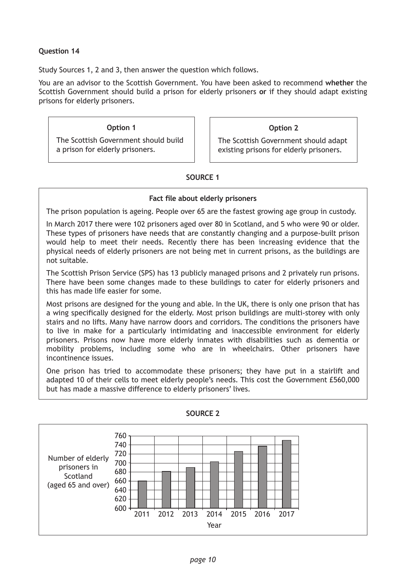#### **Question 14**

Study Sources 1, 2 and 3, then answer the question which follows.

You are an advisor to the Scottish Government. You have been asked to recommend **whether** the Scottish Government should build a prison for elderly prisoners **or** if they should adapt existing prisons for elderly prisoners.

#### **Option 1**

The Scottish Government should build a prison for elderly prisoners.

#### **Option 2**

The Scottish Government should adapt existing prisons for elderly prisoners.

#### **SOURCE 1**

#### **Fact file about elderly prisoners**

The prison population is ageing. People over 65 are the fastest growing age group in custody.

In March 2017 there were 102 prisoners aged over 80 in Scotland, and 5 who were 90 or older. These types of prisoners have needs that are constantly changing and a purpose-built prison would help to meet their needs. Recently there has been increasing evidence that the physical needs of elderly prisoners are not being met in current prisons, as the buildings are not suitable.

The Scottish Prison Service (SPS) has 13 publicly managed prisons and 2 privately run prisons. There have been some changes made to these buildings to cater for elderly prisoners and this has made life easier for some.

Most prisons are designed for the young and able. In the UK, there is only one prison that has a wing specifically designed for the elderly. Most prison buildings are multi-storey with only stairs and no lifts. Many have narrow doors and corridors. The conditions the prisoners have to live in make for a particularly intimidating and inaccessible environment for elderly prisoners. Prisons now have more elderly inmates with disabilities such as dementia or mobility problems, including some who are in wheelchairs. Other prisoners have incontinence issues.

One prison has tried to accommodate these prisoners; they have put in a stairlift and adapted 10 of their cells to meet elderly people's needs. This cost the Government £560,000 but has made a massive difference to elderly prisoners' lives.



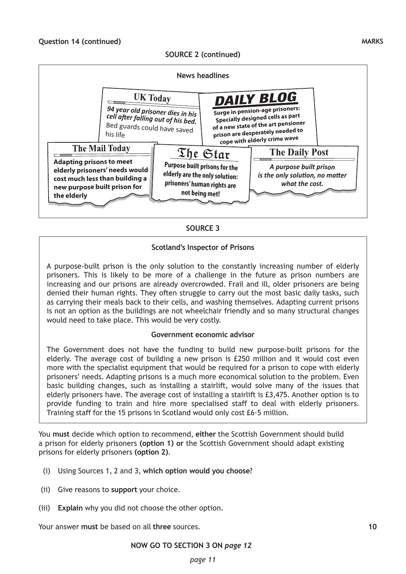



#### **SOURCE 3**

#### **Scotland's Inspector of Prisons**

A purpose-built prison is the only solution to the constantly increasing number of elderly prisoners. This is likely to be more of a challenge in the future as prison numbers are increasing and our prisons are already overcrowded. Frail and ill, older prisoners are being denied their human rights. They often struggle to carry out the most basic daily tasks, such as carrying their meals back to their cells, and washing themselves. Adapting current prisons is not an option as the buildings are not wheelchair friendly and so many structural changes would need to take place. This would be very costly.

#### **Government economic advisor**

The Government does not have the funding to build new purpose-built prisons for the elderly. The average cost of building a new prison is £250 million and it would cost even more with the specialist equipment that would be required for a prison to cope with elderly prisoners' needs. Adapting prisons is a much more economical solution to the problem. Even basic building changes, such as installing a stairlift, would solve many of the issues that elderly prisoners have. The average cost of installing a stairlift is £3,475. Another option is to provide funding to train and hire more specialised staff to deal with elderly prisoners. Training staff for the 15 prisons in Scotland would only cost £6·5 million.

You **must** decide which option to recommend, **either** the Scottish Government should build a prison for elderly prisoners **(option 1) or** the Scottish Government should adapt existing prisons for elderly prisoners **(option 2)**.

- (i) Using Sources 1, 2 and 3, **which option would you choose**?
- (ii) Give reasons to **support** your choice.
- (iii) **Explain** why you did not choose the other option.

Your answer **must** be based on all **three** sources.

**10**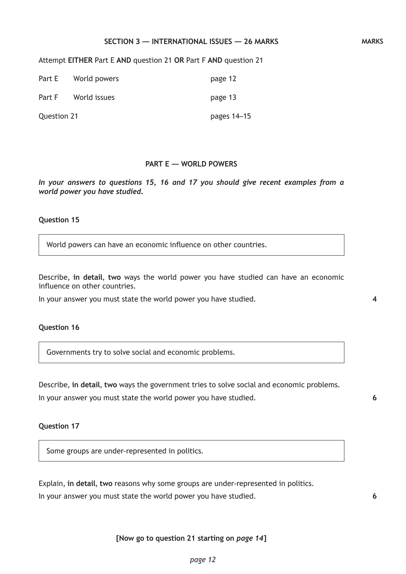#### **SECTION 3 — INTERNATIONAL ISSUES — 26 MARKS** MARKS

Attempt **EITHER** Part E **AND** question 21 **OR** Part F **AND** question 21

| Part E      | World powers | page 12     |
|-------------|--------------|-------------|
| Part F      | World issues | page 13     |
| Question 21 |              | pages 14-15 |

#### **PART E — WORLD POWERS**

*In your answers to questions 15, 16 and 17 you should give recent examples from a world power you have studied.*

#### **Question 15**

World powers can have an economic influence on other countries.

Describe, **in detail**, **two** ways the world power you have studied can have an economic influence on other countries.

In your answer you must state the world power you have studied.

#### **Question 16**

Governments try to solve social and economic problems.

Describe, **in detail**, **two** ways the government tries to solve social and economic problems. In your answer you must state the world power you have studied.

#### **Question 17**

Some groups are under-represented in politics.

Explain, **in detail**, **two** reasons why some groups are under-represented in politics. In your answer you must state the world power you have studied.

**4**

**6**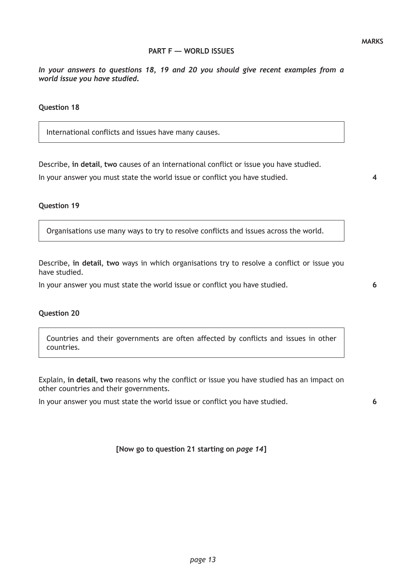#### **PART F — WORLD ISSUES**

*In your answers to questions 18, 19 and 20 you should give recent examples from a world issue you have studied.*

#### **Question 18**

International conflicts and issues have many causes.

Describe, **in detail**, **two** causes of an international conflict or issue you have studied. In your answer you must state the world issue or conflict you have studied.

**6**

#### **Question 19**

Organisations use many ways to try to resolve conflicts and issues across the world.

Describe, **in detail**, **two** ways in which organisations try to resolve a conflict or issue you have studied.

In your answer you must state the world issue or conflict you have studied.

#### **Question 20**

Countries and their governments are often affected by conflicts and issues in other countries.

Explain, **in detail**, **two** reasons why the conflict or issue you have studied has an impact on other countries and their governments.

In your answer you must state the world issue or conflict you have studied.

**[Now go to question 21 starting on** *page 14***]**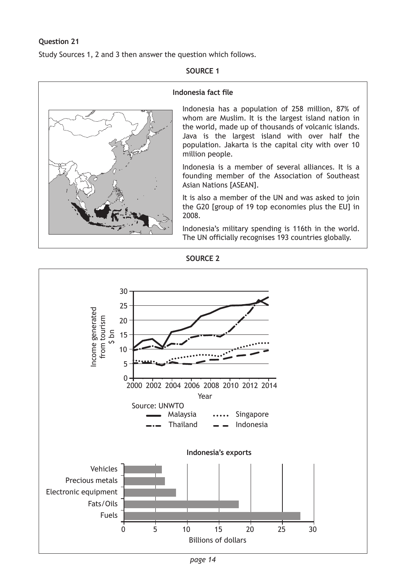#### **Question 21**

Study Sources 1, 2 and 3 then answer the question which follows.

#### **SOURCE 1**



#### **Indonesia fact file**

Indonesia has a population of 258 million, 87% of whom are Muslim. It is the largest island nation in the world, made up of thousands of volcanic islands. Java is the largest island with over half the population. Jakarta is the capital city with over 10 million people.

Indonesia is a member of several alliances. It is a founding member of the Association of Southeast Asian Nations [ASEAN].

It is also a member of the UN and was asked to join the G20 [group of 19 top economies plus the EU] in 2008.

Indonesia's military spending is 116th in the world. The UN officially recognises 193 countries globally.



#### **SOURCE 2**

*page 14*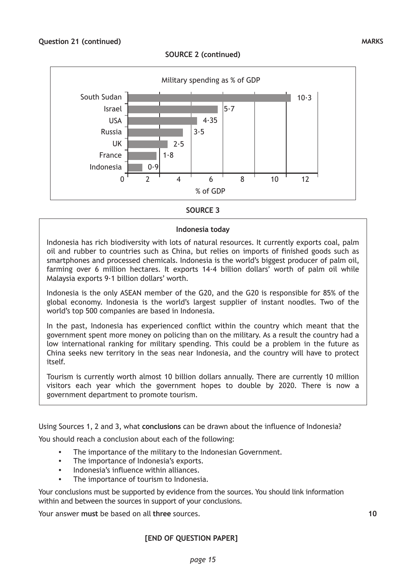

#### **SOURCE 2 (continued)**

#### **SOURCE 3**

#### **Indonesia today**

Indonesia has rich biodiversity with lots of natural resources. It currently exports coal, palm oil and rubber to countries such as China, but relies on imports of finished goods such as smartphones and processed chemicals. Indonesia is the world's biggest producer of palm oil, farming over 6 million hectares. It exports 14·4 billion dollars' worth of palm oil while Malaysia exports 9·1 billion dollars' worth.

Indonesia is the only ASEAN member of the G20, and the G20 is responsible for 85% of the global economy. Indonesia is the world's largest supplier of instant noodles. Two of the world's top 500 companies are based in Indonesia.

In the past, Indonesia has experienced conflict within the country which meant that the government spent more money on policing than on the military. As a result the country had a low international ranking for military spending. This could be a problem in the future as China seeks new territory in the seas near Indonesia, and the country will have to protect itself.

Tourism is currently worth almost 10 billion dollars annually. There are currently 10 million visitors each year which the government hopes to double by 2020. There is now a government department to promote tourism.

Using Sources 1, 2 and 3, what **conclusions** can be drawn about the influence of Indonesia?

You should reach a conclusion about each of the following:

- The importance of the military to the Indonesian Government.
- The importance of Indonesia's exports.
- Indonesia's influence within alliances.
- The importance of tourism to Indonesia.

Your conclusions must be supported by evidence from the sources. You should link information within and between the sources in support of your conclusions.

Your answer **must** be based on all **three** sources.

**[END OF QUESTION PAPER]**